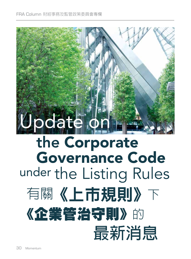

# the Corporate Governance Code under the Listing Rules 有關《上市規則》下 《企業管治守則》的 **最新消息**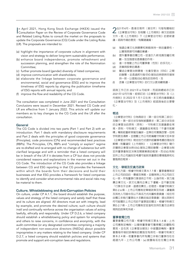In April 2021, Hong Kong Stock Exchange (HKEX) issued the Consultation Paper on the Review of Corporate Governance Code n April 2021, Hong Kong Stock Exchange (HKEX) issued the and Related Listing Rules to consult the market on the proposals to update the Corporate Governance (CG) Code under the Listing Rules (LR). The proposals are intended to:

- (a) highlight the importance of corporate culture in alignment with vision and strategy to deliver long-term sustainable performance;
- (b) enhance board independence, promote refreshment and succession planning, and strengthen the role of the Nomination Committee;
- (c) further promote board (gender) diversity of listed companies;
- (d) improve communication with shareholders;
- (e) elaborate the linkage between corporate governance and environmental, social and governance (ESG) and to improve the timeliness of ESG reports by aligning the publication timeframe of ESG reports with annual reports; and
- (f) improve the flow and readability of the CG Code.

The consultation was completed in June 2021 and the Consultation Conclusions were issued in December 2021. Revised CG Code and LR are effective from 1 January 2022. This article will update our members as to key changes to the CG Code and the LR after the consultation.

## **General**

The CG Code is divided into two parts (Part 1 and Part 2) with an introduction. Part 1 deals with mandatory disclosure requirements and Part 2 deals with the principles of good corporate governance (Principles), code provisions (CPs) and recommended best practices (RBPs). The Principles, CPs, RBPs and "comply or explain" regime are re-drafted and re-arranged with no change of substance but with clarified language and with a reminder that a listed company will be in breach of the LR if it deviates from a CP but does not provide considered reasons and explanations in the manner set out in the CG Code. The introduction of the CG Code also provides a linkage between CG and ESG reporting in that CG provides the framework within which the boards form their decisions and build their businesses and that ESG provides a framework for listed companies to identify and consider what environmental risks and social risks may be material to them.

## **Culture, Whistleblowing and Anti-Corruption Policies**

On culture, under CP A.1.1, the board should establish the purpose, values and strategy of the listed company and satisfy itself that these and its culture are aligned. All directors must act with integrity, lead by example, and promote the desired culture; such culture should instil and continually reinforce across the organisation values of acting lawfully, ethically and responsibly. Under CP D.2.6, a listed company should establish a whistleblowing policy and system for employees and others to raise concerns, in confidence and anonymity, with the audit committee (or any designated committee comprising a majority of independent non-executive directors (INEDs)) about possible improprieties in any matters relating to the listed company. Under CP D.2.7, a listed company should establish policies and systems that promote and support anti-corruption laws and regulations.

2021<sup>年</sup>4月,香港交易所(港交所)刊發有關檢討 《企業管治守則》及相關《上市規則》條文的諮詢 文件,就《上市規則》下《企業管治守則》的更新建 議,諮詢市場的意見。有關建議擬:

- (a) 強調企業文化與願景和策略保持一致的重要性, 以實現長期可持續的業績;
- (b) 提升董事會的獨立性,促進引入新成員及繼任規 劃,及加強提名委員會的作用;
- (c) 進一步推動上市公司董事會(性別)的多元化;
- (d) 改善與股東的溝通;
- (e) 闡述企業管治與環境、社會及管治(ESG)之間 的聯繫,並透過將刊發 ESG 報告的時限與年報保 持一致,以提高ESG報告的及時性;及
- (f) 改善《企業管治守則》的行文以更流暢易讀。

諮詢工作已於 2021年 6 月結束,而諮詢總結亦已於 2021年12月刊發。經修訂的《企業管治守則》及《上 市規則》於 2022 年 1 月 1 日生效。本文將向會員闡述 《企業管治守則》及《上市規則》經諮詢後的主要變 化。

## **概述**

《企業管治守則》分為兩部分(第一部分和第二部分) 及簡介。第一部分涉及強制披露要求,第二部分涉及良 好企業管治的原則(原則)、守則條文及建議最佳常 規。原則、守則條文、建議最佳常規及「不遵守就解 釋」機制經重新草擬及編排,並無任何實質改變,但用 字則更加清晰,並提醒上市公司若偏離守則條文但未按 《企業管治守則》規定的方式提供經審慎考慮的理由及 解釋,則屬違反《上市規則》。《企業管治守則》簡介 亦闡明企業管治與 ESG 報告之間的聯繫,企業管治制 定供董事會制定決策及開展業務的框架,而 ESG 則制 定供上市公司識別及考慮可能對其重要的環境風險和社 會風險的框架。

## **文化、舉報及反貪污政策**

在文化方面,根據守則條文第 A.1.1 條,董事會應制定 上市公司的目的、價值及策略,並確保與上市公司的文 化一致。所有董事行事須持正不阿、以身作則,致力推 廣企業文化。該文化應向企業上下灌輸,並不斷加強 「行事合乎法律、道德及責任」的理念。根據守則條文 第D.2.6 條,上市公司應制定舉報政策及系統,讓僱員 及其他人可暗中及以不具名方式向審核委員會(或任何 由獨立非執行董事佔大多數的指定委員會)提出其對任 何可能關於上市公司的不當事宜的關注。根據守則條文 第D.2.7 條,上市公司應制定促進和支持反貪污法律及 規例的政策和系統。

#### **董事會獨立性**

董事會獨立性方面,根據守則條文第 B.1.4 條,上市 公司應制定機制,以確保董事會可獲得獨立的觀點和 意見,並在其《企業管治報告》中披露該機制。董事 會應每年檢討該機制的實施及有效性。根據守則條文 第 B.2.4 條,若董事會內所有獨立非執行董事均在任 超過九年,上市公司應:(a) 披露每名在任獨立非執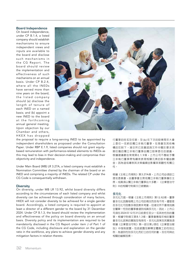#### **Board Independence**

On board independence, under CP B.1.4, a listed company should establish mechanisms to ensure independent views and inputs are available to the board and disclose such mechanisms in the CG Report. The board should review the implementation and effectiveness of such mechanisms on an annual basis. Under CP B.2.4, where all the INEDs have served more than nine years on the board, the listed company should (a) disclose the length of tenure of each INED on a named basis; and (b) appoint a new INED to the board at the forthcoming annual general meeting. Upon objection by our Chamber and others, HKEX has dropped



the proposal to require a long-serving INED to be appointed by independent shareholders as proposed under the Consultation Paper. Under RBP E.1.9, listed companies should not grant equitybased remuneration with performance-related elements to INEDs as this may lead to bias in their decision-making and compromise their objectivity and independence.

Under Main Board (MB) LR 3.27A, a listed company must establish a Nomination Committee chaired by the chairman of the board or an INED and comprising a majority of INEDs. The related CP under the CG Code is consequentially withdrawn.

## **Diversity**

On diversity, under MB LR 13.92, whilst board diversity differs according to the circumstances of each listed company and whilst diversity can be achieved through consideration of many factors, HKEX will not consider diversity to be achieved for a single gender board. Accordingly, a listed company is required to appoint at least a director of a different gender to the board by 31 December 2024. Under CP B.1.3, the board should review the implementation and effectiveness of the policy on board diversity on an annual basis. Diversity policy and its implementation are required to be mandatorily disclosed in the CG Report under item J of Part 1 of the CG Code, including disclosure and explanation on the gender ratio in the workforce, any plans to achieve gender diversity and any mitigation factors in relation thereto.

行董事的姓名及任期;及 (b) 在下次的股東周年大會 上委任一名新的獨立非執行董事。在商會及其他機 構的反對下,港交所已放棄諮詢文件中關於要求長 期任職的獨立非執行董事由獨立股東委任的建議。 根據建議最佳常規第E.1.9條,上市公司不應給予獨 立非執行董事帶有績效表現相關元素的股本權益酬 金,因為這或導致其決策偏頗並影響其客觀性和獨立 性。

根據《主板上市規則》第3.27A條,上市公司必須設立 提名委員會,由董事會主席或獨立非執行董事擔任主 席,成員須以獨立非執行董事佔大多數。《企業管治守 則》中的相關守則條文已被撤銷。

#### **多元化**

多元化方面,根據《主板上市規則》第13.92條,董事 會多元化因應每間上市公司的情況而各有不同。儘管是 否多元化可因應多項因素來考量,但港交所不會視成員 全屬單一性別的董事會達到成員多元化。因此,上市公 司須在2024年12月31日前委任至少一名其他性別的董 事。根據守則條文第B.1.3條,董事會應每年檢討董事 會多元化政策的實施及有效性。多元化政策及其實施須 根據《企業管治守則》第一部分第J項在《企業管治報 告》中強制披露,包括披露及解釋全體員工的性別比 例、為達到性別多元化而訂立的任何計劃,及任何與此 相關的緩解因素。